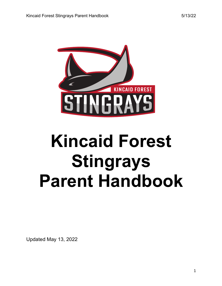

# **Kincaid Forest Stingrays Parent Handbook**

Updated May 13, 2022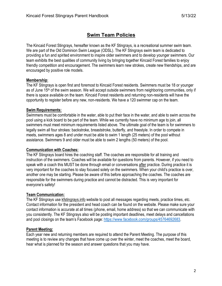# **Swim Team Policies**

The Kincaid Forest Stingrays, hereafter known as the KF Stingrays, is a recreational summer swim team. We are part of the Old Dominion Swim League (ODSL). The KF Stingrays swim team is dedicated to providing a fun and spirited environment to inspire older swimmers and to develop younger swimmers. Our team exhibits the best qualities of community living by bringing together Kincaid Forest families to enjoy friendly competition and encouragement. The swimmers learn new strokes, create new friendships, and are encouraged by positive role models.

#### **Membership**:

The KF Stingrays is open first and foremost to Kincaid Forest residents. Swimmers must be 18 or younger as of June 15th of the swim season. We will accept outside swimmers from neighboring communities, only if there is space available on the team. Kincaid Forest residents and returning non-residents will have the opportunity to register before any new, non-residents. We have a 120 swimmer cap on the team.

#### **Swim Requirements:**

Swimmers must be comfortable in the water, able to put their face in the water, and able to swim across the pool using a kick board to be part of the team. While we currently have no minimum age to join, all swimmers must meet minimum requirements listed above. The ultimate goal of the team is for swimmers to legally swim all four strokes: backstroke, breaststroke, butterfly, and freestyle. In order to compete in meets, swimmers ages 8 and under must be able to swim 1 length (25 meters) of the pool without assistance. Swimmers 9 and older must be able to swim 2 lengths (50 meters) of the pool.

## **Communication with Coaches:**

The KF Stingrays board hires the coaching staff. The coaches are responsible for all training and instruction of the swimmers. Coaches will be available for questions from parents. However, if you need to speak with a coach this MUST be done through email or conversations after practice. During practice it is very important for the coaches to stay focused solely on the swimmers. When your child's practice is over, another one may be starting. Please be aware of this before approaching the coaches. The coaches are responsible for the swimmers during practice and cannot be distracted. This is very important for everyone's safety!

## **Team Communication:**

The KF Stingrays use kfstingrays.info website to post all messages regarding meets, practice times, etc. Contact information for the president and head coach can be found on the website. Please make sure your contact information is accurate at all times (phone, email, home address) so that we can communicate with you consistently. The KF Stingrays also will be posting important deadlines, meet delays and cancellations and pool closings on the team's Facebook page: https://www.facebook.com/groups/45764692683.

## **Parent Meeting:**

Each year new and returning members are required to attend the Parent Meeting. The purpose of this meeting is to review any changes that have come up over the winter, meet the coaches, meet the board, hear what is planned for the season and answer questions that you may have.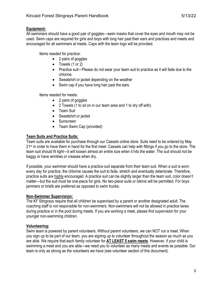#### **Equipment:**

All swimmers should have a good pair of goggles—swim masks that cover the eyes and mouth may not be used. Swim caps are required for girls and boys with long hair past their ears and practices and meets and encouraged for all swimmers at meets. Caps with the team logo will be provided.

Items needed for practice:

- 2 pairs of goggles
- Towels (1 or 2)
- Practice suit—Please do not wear your team suit to practice as it will fade due to the chlorine.
- Sweatshirt or jacket depending on the weather
- Swim cap if you have long hair past the ears.

Items needed for meets:

- 2 pairs of goggles
- 2 Towels (1 to sit on in our team area and 1 to dry off with)
- Team Suit
- Sweatshirt or jacket
- Sunscreen
- Team Swim Cap (provided)

## **Team Suits and Practice Suits:**

Team suits are available for purchase through our Cassels online store. Suits need to be ordered by May 21<sup>st</sup> in order to have them in hand for the first meet. Cassels can help with fittings if you go to the store. The team suit should fit tight—it will loosen almost an entire size when it hits the water. The suit should not be baggy or have wrinkles or creases when dry.

If possible, your swimmer should have a practice suit separate from their team suit. When a suit is worn every day for practice, the chlorine causes the suit to fade, stretch and eventually deteriorate. Therefore, practice suits are highly encouraged. A practice suit can be slightly larger than the team suit, color doesn't matter—but the suit must be one-piece for girls. No two-piece suits or bikinis will be permitted. For boys jammers or briefs are preferred as opposed to swim trunks.

## **Non-Swimmer Supervision:**

The KF Stingrays require that all children be supervised by a parent or another designated adult. The coaching staff is not responsible for non-swimmers. Non-swimmers will not be allowed in practice lanes during practice or in the pool during meets. If you are working a meet, please find supervision for your younger non-swimming children.

## **Volunteering:**

Swim team is powered by parent volunteers. Without parent volunteers, we can NOT run a meet. When you sign up to be part of our team, you are signing up to volunteer throughout the season as much as you are able. We require that each family volunteer for **AT LEAST 5 swim meets**. However, if your child is swimming a meet and you are able—we need you to volunteer as many meets and events as possible. Our team is only as strong as the volunteers we have (see volunteer section of this document).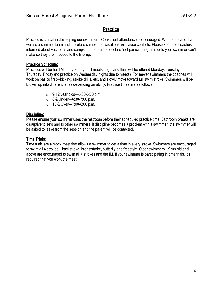## **Practice**

Practice is crucial in developing our swimmers. Consistent attendance is encouraged. We understand that we are a summer team and therefore camps and vacations will cause conflicts. Please keep the coaches informed about vacations and camps and be sure to declare "not participating" in meets your swimmer can't make so they aren't added to the line-up.

#### **Practice Schedule:**

Practices will be held Monday-Friday until meets begin and then will be offered Monday, Tuesday, Thursday, Friday (no practice on Wednesday nights due to meets). For newer swimmers the coaches will work on basics first—kicking, stroke drills, etc. and slowly move toward full swim stroke. Swimmers will be broken up into different lanes depending on ability. Practice times are as follows:

- $\circ$  9-12 year olds—5:30-6:30 p.m.
- o 8 & Under—6:30-7:00 p.m.
- o 13 & Over—7:00-8:00 p.m.

#### **Discipline:**

Please ensure your swimmer uses the restroom before their scheduled practice time. Bathroom breaks are disruptive to sets and to other swimmers. If discipline becomes a problem with a swimmer, the swimmer will be asked to leave from the session and the parent will be contacted.

#### **Time Trials:**

Time trials are a mock meet that allows a swimmer to get a time in every stroke. Swimmers are encouraged to swim all 4 strokes—backstroke, breaststroke, butterfly and freestyle. Older swimmers—9 yrs old and above are encouraged to swim all 4 strokes and the IM. If your swimmer is participating in time trials, it's required that you work the meet.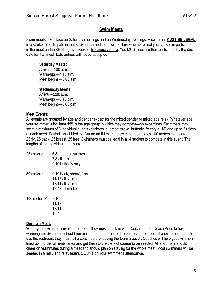## **Swim Meets**

Swim meets take place on Saturday mornings and on Wednesday evenings. A swimmer **MUST BE LEGAL** in a stroke to participate in that stroke in a meet. You will declare whether or not your child can participate in the meet on the KF Stingrays website: **kfstingrays.info**. You MUST declare their participate by the due date for that meet. Late entries will not be accepted.

#### **Saturday Meets:**

Arrival—7:00 a.m. Warm-ups—7:15 a.m. Meet begins—8:00 a.m.

#### **Wednesday Meets:**

Arrival—5:00 p.m. Warm-ups—5:15 p.m. Meet begins—6:00 p.m.

## **Meet Events:**

All events are grouped by age and gender except for the mixed gender or mixed age relay. Whatever age your swimmer is by **June 15th** is the age group in which they compete—no exceptions. Swimmers may swim a maximum of 3 individual events (backstroke, breaststroke, butterfly, freestyle, IM) and up to 2 relays at each meet. IM=Individual Medley. During an IM event, a swimmer completes 100 meters in this order— 25 fly, 25 back, 25 breast, 25 free. Swimmers must be legal in all 4 strokes to compete in this event. The lengths of the individual events are:

| 25 meters:   | 6 & under all strokes<br>7/8 all strokes<br>9/10 butterfly only                        |
|--------------|----------------------------------------------------------------------------------------|
| 50 meters:   | 9/10 back, breast, free<br>11/12 all strokes<br>13/14 all strokes<br>15-18 all strokes |
| 100 meter IM | 9/10<br>11/12<br>13/14<br>15-18                                                        |

#### **During a Meet:**

When your swimmer arrives at the meet, they must check-in with Coach Jenn or Coach Anne before warming up. Swimmers should remain in our team area for the entirety of the meet. If a swimmer needs to use the restroom, they must tell a coach before leaving the team area. Jr. Coaches will help get swimmers lined up in order of heats/lanes and get them to the clerk of course to be seeded. All swimmers should cheer on teammates during a meet and should plan on staying for the whole meet. Most swimmers will be seeded in a relay and relay teams COUNT on your swimmer's attendance.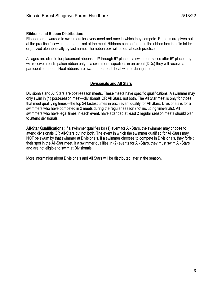Ribbons are awarded to swimmers for every meet and race in which they compete. Ribbons are given out at the practice following the meet—not at the meet. Ribbons can be found in the ribbon box in a file folder organized alphabetically by last name. The ribbon box will be out at each practice.

All ages are eligible for placement ribbons—1<sup>st</sup> through 6<sup>th</sup> place. If a swimmer places after 6<sup>th</sup> place they will receive a participation ribbon only. If a swimmer disqualifies in an event (DQs) they will receive a participation ribbon. Heat ribbons are awarded for each heat winner during the meets.

## **Divisionals and All Stars**

Divisionals and All Stars are post-season meets. These meets have specific qualifications. A swimmer may only swim in (1) post-season meet—divisionals OR All Stars, not both. The All Star meet is only for those that meet qualifying times—the top 24 fastest times in each event qualify for All Stars. Divisionals is for all swimmers who have competed in 2 meets during the regular season (not including time-trials). All swimmers who have legal times in each event, have attended at least 2 regular season meets should plan to attend divisionals.

**All-Star Qualifications:** If a swimmer qualifies for (1) event for All-Stars, the swimmer may choose to attend divisionals OR All-Stars but not both. The event in which the swimmer qualified for All-Stars may NOT be swum by that swimmer at Divisionals. If a swimmer chooses to compete in Divisionals, they forfeit their spot in the All-Star meet. If a swimmer qualifies in (2) events for All-Stars, they must swim All-Stars and are not eligible to swim at Divisionals.

More information about Divisionals and All Stars will be distributed later in the season.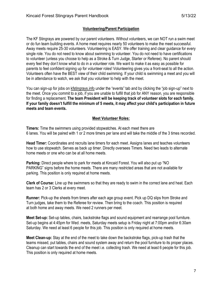#### **Volunteering/Parent Participation**

The KF Stingrays are powered by our parent volunteers. Without volunteers, we can NOT run a swim meet or do fun team building events. A home meet requires nearly 50 volunteers to make the meet successful. Away meets require 25-30 volunteers. Volunteering is EASY. We offer training and clear guidance for every single role. You do not need to know about swimming to volunteer. You do not need to have certifications to volunteer (unless you choose to help as a Stroke & Turn Judge, Starter or Referee). No parent should every feel they don't know what to do in a volunteer role. We want to make it as easy as possible for parents to feel confident signing up for volunteer roles! Volunteering gives you a front-seat to all the action. Volunteers often have the BEST view of their child swimming. If your child is swimming a meet and you will be in attendance to watch, we ask that you volunteer to help with the meet.

You can sign-up for jobs on kfstingrays.info under the "events" tab and by clicking the "job sign-up" next to the meet. Once you commit to a job, if you are unable to fulfill that job for ANY reason, you are responsible for finding a replacement. **The team President will be keeping track of volunteer slots for each family. If your family doesn't fulfill the minimum of 5 meets, it may affect your child's participation in future meets and team events.** 

#### **Meet Volunteer Roles:**

**Timers:** Time the swimmers using provided stopwatches. At each meet there are 6 lanes. You will be paired with 1 or 2 more timers per lane and will take the middle of the 3 times recorded.

**Head Timer:** Coordinates and recruits lane timers for each meet. Assigns lanes and teaches volunteers how to use stopwatch. Serves as back up timer. Directly oversees Timers. Need two leads to alternate home meets or one who can be at all home meets.

**Parking:** Direct people where to park for meets at Kincaid Forest. You will also put up "NO PARKING" signs before the home meets. There are many restricted areas that are not available for parking. This position is only required at home meets.

**Clerk of Course:** Line up the swimmers so that they are ready to swim in the correct lane and heat. Each team has 2 or 3 Clerks at every meet.

**Runner:** Pick-up the sheets from timers after each age group event. Pick up DQ slips from Stroke and Turn judges, take them to the Referee for review. Then bring to the coach. This position is required at both home and away meets. We need 2 runners per meet.

**Meet Set-up:** Set-up tables, chairs, backstroke flags and sound equipment and rearrange pool furniture. Set-up begins at 4:45pm for Wed. meets, Saturday meets setup is Friday night at 7:00pm and/or 6:30am Saturday. We need at least 6 people for this job. This position is only required at home meets.

**Meet Clean-up:** Stay at the end of the meet to take down the backstroke flags, pick-up trash that the teams missed, put tables, chairs and sound system away and return the pool furniture to its proper places. Cleanup can start towards the end of the meet i.e. collecting trash. We need at least 6 people for this job. This position is only required at home meets.